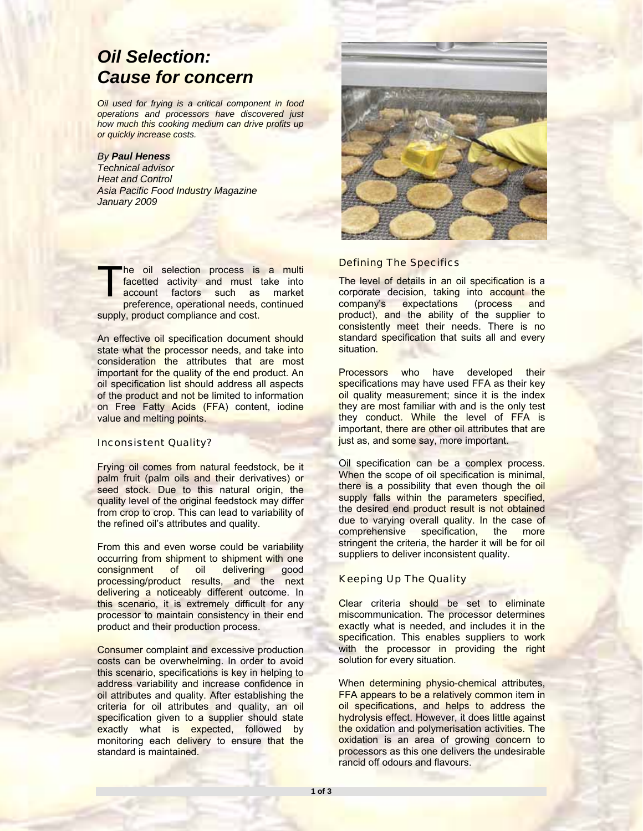# *Oil Selection: Cause for concern*

*Oil used for frying is a critical component in food operations and processors have discovered just how much this cooking medium can drive profits up or quickly increase costs.* 

# *By Paul Heness*

*Technical advisor Heat and Control Asia Pacific Food Industry Magazine January 2009* 

he oil selection process is a multi facetted activity and must take into account factors such as market preference, operational needs, continued supply, product compliance and cost. The<br>T<sub>aco</sub>

An effective oil specification document should state what the processor needs, and take into consideration the attributes that are most important for the quality of the end product. An oil specification list should address all aspects of the product and not be limited to information on Free Fatty Acids (FFA) content, iodine value and melting points.

## Inconsistent Quality?

Frying oil comes from natural feedstock, be it palm fruit (palm oils and their derivatives) or seed stock. Due to this natural origin, the quality level of the original feedstock may differ from crop to crop. This can lead to variability of the refined oil's attributes and quality.

From this and even worse could be variability occurring from shipment to shipment with one consignment of oil delivering good processing/product results, and the next delivering a noticeably different outcome. In this scenario, it is extremely difficult for any processor to maintain consistency in their end product and their production process.

Consumer complaint and excessive production costs can be overwhelming. In order to avoid this scenario, specifications is key in helping to address variability and increase confidence in oil attributes and quality. After establishing the criteria for oil attributes and quality, an oil specification given to a supplier should state exactly what is expected, followed by monitoring each delivery to ensure that the standard is maintained.



### Defining The Specifics

The level of details in an oil specification is a corporate decision, taking into account the company's expectations (process and product), and the ability of the supplier to consistently meet their needs. There is no standard specification that suits all and every situation.

Processors who have developed their specifications may have used FFA as their key oil quality measurement; since it is the index they are most familiar with and is the only test they conduct. While the level of FFA is important, there are other oil attributes that are just as, and some say, more important.

Oil specification can be a complex process. When the scope of oil specification is minimal, there is a possibility that even though the oil supply falls within the parameters specified, the desired end product result is not obtained due to varying overall quality. In the case of comprehensive specification, the more stringent the criteria, the harder it will be for oil suppliers to deliver inconsistent quality.

## Keeping Up The Quality

Clear criteria should be set to eliminate miscommunication. The processor determines exactly what is needed, and includes it in the specification. This enables suppliers to work with the processor in providing the right solution for every situation.

When determining physio-chemical attributes, FFA appears to be a relatively common item in oil specifications, and helps to address the hydrolysis effect. However, it does little against the oxidation and polymerisation activities. The oxidation is an area of growing concern to processors as this one delivers the undesirable rancid off odours and flavours.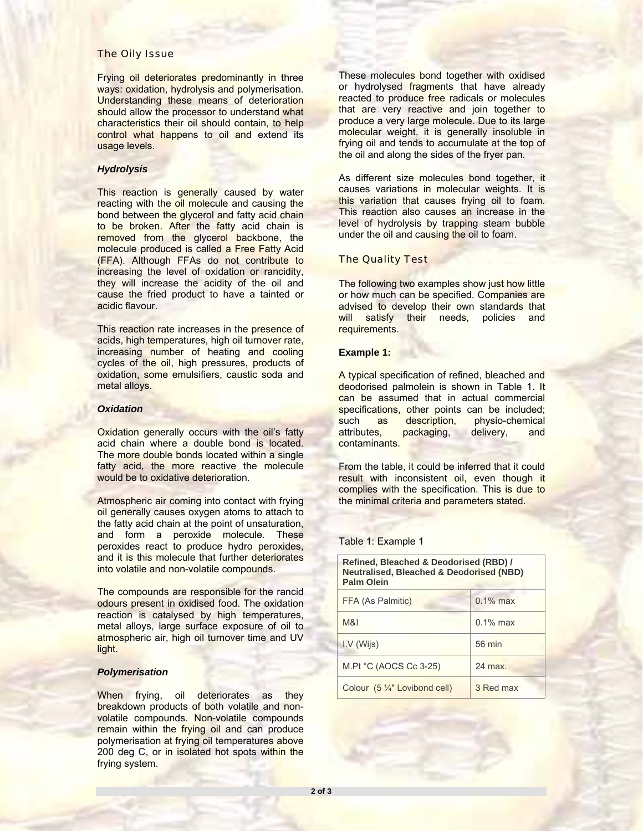#### The Oily Issue

Frying oil deteriorates predominantly in three ways: oxidation, hydrolysis and polymerisation. Understanding these means of deterioration should allow the processor to understand what characteristics their oil should contain, to help control what happens to oil and extend its usage levels.

## *Hydrolysis*

This reaction is generally caused by water reacting with the oil molecule and causing the bond between the glycerol and fatty acid chain to be broken. After the fatty acid chain is removed from the glycerol backbone, the molecule produced is called a Free Fatty Acid (FFA). Although FFAs do not contribute to increasing the level of oxidation or rancidity, they will increase the acidity of the oil and cause the fried product to have a tainted or acidic flavour.

This reaction rate increases in the presence of acids, high temperatures, high oil turnover rate, increasing number of heating and cooling cycles of the oil, high pressures, products of oxidation, some emulsifiers, caustic soda and metal alloys.

## *Oxidation*

Oxidation generally occurs with the oil's fatty acid chain where a double bond is located. The more double bonds located within a single fatty acid, the more reactive the molecule would be to oxidative deterioration.

Atmospheric air coming into contact with frying oil generally causes oxygen atoms to attach to the fatty acid chain at the point of unsaturation, and form a peroxide molecule. These peroxides react to produce hydro peroxides, and it is this molecule that further deteriorates into volatile and non-volatile compounds.

The compounds are responsible for the rancid odours present in oxidised food. The oxidation reaction is catalysed by high temperatures, metal alloys, large surface exposure of oil to atmospheric air, high oil turnover time and UV light.

#### *Polymerisation*

When frying, oil deteriorates as they breakdown products of both volatile and nonvolatile compounds. Non-volatile compounds remain within the frying oil and can produce polymerisation at frying oil temperatures above 200 deg C, or in isolated hot spots within the frying system.

These molecules bond together with oxidised or hydrolysed fragments that have already reacted to produce free radicals or molecules that are very reactive and join together to produce a very large molecule. Due to its large molecular weight, it is generally insoluble in frying oil and tends to accumulate at the top of the oil and along the sides of the fryer pan.

As different size molecules bond together, it causes variations in molecular weights. It is this variation that causes frying oil to foam. This reaction also causes an increase in the level of hydrolysis by trapping steam bubble under the oil and causing the oil to foam.

## The Quality Test

The following two examples show just how little or how much can be specified. Companies are advised to develop their own standards that will satisfy their needs, policies and requirements.

#### **Example 1:**

A typical specification of refined, bleached and deodorised palmolein is shown in Table 1. It can be assumed that in actual commercial specifications, other points can be included; such as description, physio-chemical attributes, packaging, delivery, and contaminants.

From the table, it could be inferred that it could result with inconsistent oil, even though it complies with the specification. This is due to the minimal criteria and parameters stated.

#### Table 1: Example 1

| Refined, Bleached & Deodorised (RBD) /<br><b>Neutralised, Bleached &amp; Deodorised (NBD)</b><br><b>Palm Olein</b> |             |  |  |  |  |  |
|--------------------------------------------------------------------------------------------------------------------|-------------|--|--|--|--|--|
| FFA (As Palmitic)                                                                                                  | $0.1\%$ max |  |  |  |  |  |
| M&I                                                                                                                | $0.1\%$ max |  |  |  |  |  |
| $IV$ (Wijs)                                                                                                        | 56 min      |  |  |  |  |  |
| M.Pt $°C$ (AOCS Cc 3-25)                                                                                           | $24$ max    |  |  |  |  |  |
| Colour (5 1/4" Lovibond cell)                                                                                      | 3 Red max   |  |  |  |  |  |